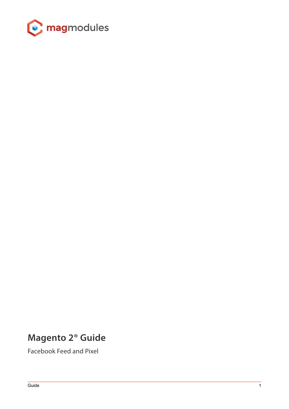

# **Magento 2® Guide**

Facebook Feed and Pixel